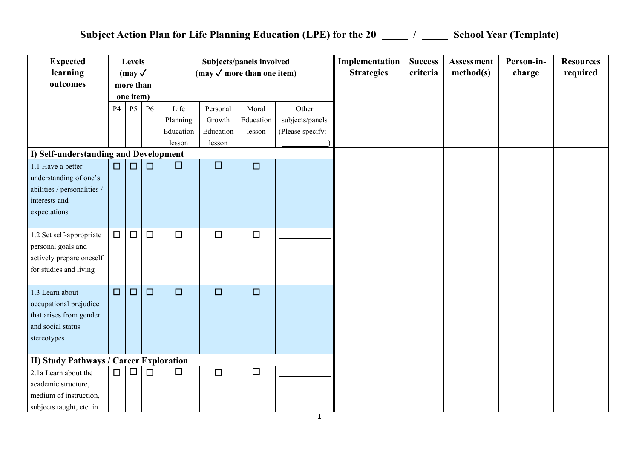## Subject Action Plan for Life Planning Education (LPE) for the 20 \_\_\_\_\_ / \_\_\_\_\_ School Year (Template)

| <b>Expected</b><br>learning<br>outcomes                                                                                                              |        | Levels<br>$\text{ (may } \checkmark$<br>more than<br>one item) |           |                                         | (may $\checkmark$ more than one item)     | Subjects/panels involved     |                                              | Implementation<br><b>Strategies</b> | <b>Success</b><br>criteria | <b>Assessment</b><br>method(s) | Person-in-<br>charge | <b>Resources</b><br>required |
|------------------------------------------------------------------------------------------------------------------------------------------------------|--------|----------------------------------------------------------------|-----------|-----------------------------------------|-------------------------------------------|------------------------------|----------------------------------------------|-------------------------------------|----------------------------|--------------------------------|----------------------|------------------------------|
|                                                                                                                                                      | P4     | <b>P5</b>                                                      | <b>P6</b> | Life<br>Planning<br>Education<br>lesson | Personal<br>Growth<br>Education<br>lesson | Moral<br>Education<br>lesson | Other<br>subjects/panels<br>(Please specify: |                                     |                            |                                |                      |                              |
| I) Self-understanding and Development<br>1.1 Have a better<br>understanding of one's<br>abilities / personalities /<br>interests and<br>expectations | $\Box$ | $\Box$                                                         | $\Box$    | $\Box$                                  | $\Box$                                    | $\Box$                       |                                              |                                     |                            |                                |                      |                              |
| 1.2 Set self-appropriate<br>personal goals and<br>actively prepare oneself<br>for studies and living                                                 | $\Box$ | $\Box$                                                         | $\Box$    | $\Box$                                  | $\Box$                                    | $\Box$                       |                                              |                                     |                            |                                |                      |                              |
| 1.3 Learn about<br>occupational prejudice<br>that arises from gender<br>and social status<br>stereotypes                                             | $\Box$ | $\Box$                                                         | $\Box$    | $\square$                               | $\Box$                                    | $\Box$                       |                                              |                                     |                            |                                |                      |                              |
| <b>II) Study Pathways / Career Exploration</b><br>2.1a Learn about the<br>academic structure,<br>medium of instruction,<br>subjects taught, etc. in  | $\Box$ | $\Box$                                                         | $\Box$    | $\Box$                                  | $\Box$                                    | $\Box$                       |                                              |                                     |                            |                                |                      |                              |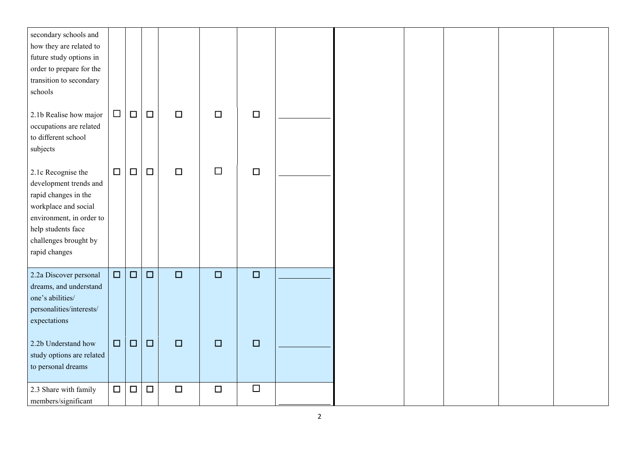| secondary schools and<br>how they are related to<br>future study options in<br>order to prepare for the<br>transition to secondary<br>schools                                            |        |        |        |        |        |        |  |  |  |
|------------------------------------------------------------------------------------------------------------------------------------------------------------------------------------------|--------|--------|--------|--------|--------|--------|--|--|--|
| 2.1b Realise how major<br>occupations are related<br>to different school<br>subjects                                                                                                     | $\Box$ | $\Box$ | $\Box$ | $\Box$ | $\Box$ | $\Box$ |  |  |  |
| 2.1c Recognise the<br>development trends and<br>rapid changes in the<br>workplace and social<br>environment, in order to<br>help students face<br>challenges brought by<br>rapid changes | $\Box$ | $\Box$ | $\Box$ | $\Box$ | $\Box$ | $\Box$ |  |  |  |
| 2.2a Discover personal<br>dreams, and understand<br>one's abilities/<br>personalities/interests/<br>expectations                                                                         | $\Box$ | $\Box$ | $\Box$ | $\Box$ | $\Box$ | $\Box$ |  |  |  |
| 2.2b Understand how<br>study options are related<br>to personal dreams                                                                                                                   | $\Box$ | $\Box$ | $\Box$ | $\Box$ | $\Box$ | $\Box$ |  |  |  |
| 2.3 Share with family<br>members/significant                                                                                                                                             | $\Box$ | $\Box$ | $\Box$ | $\Box$ | $\Box$ | $\Box$ |  |  |  |